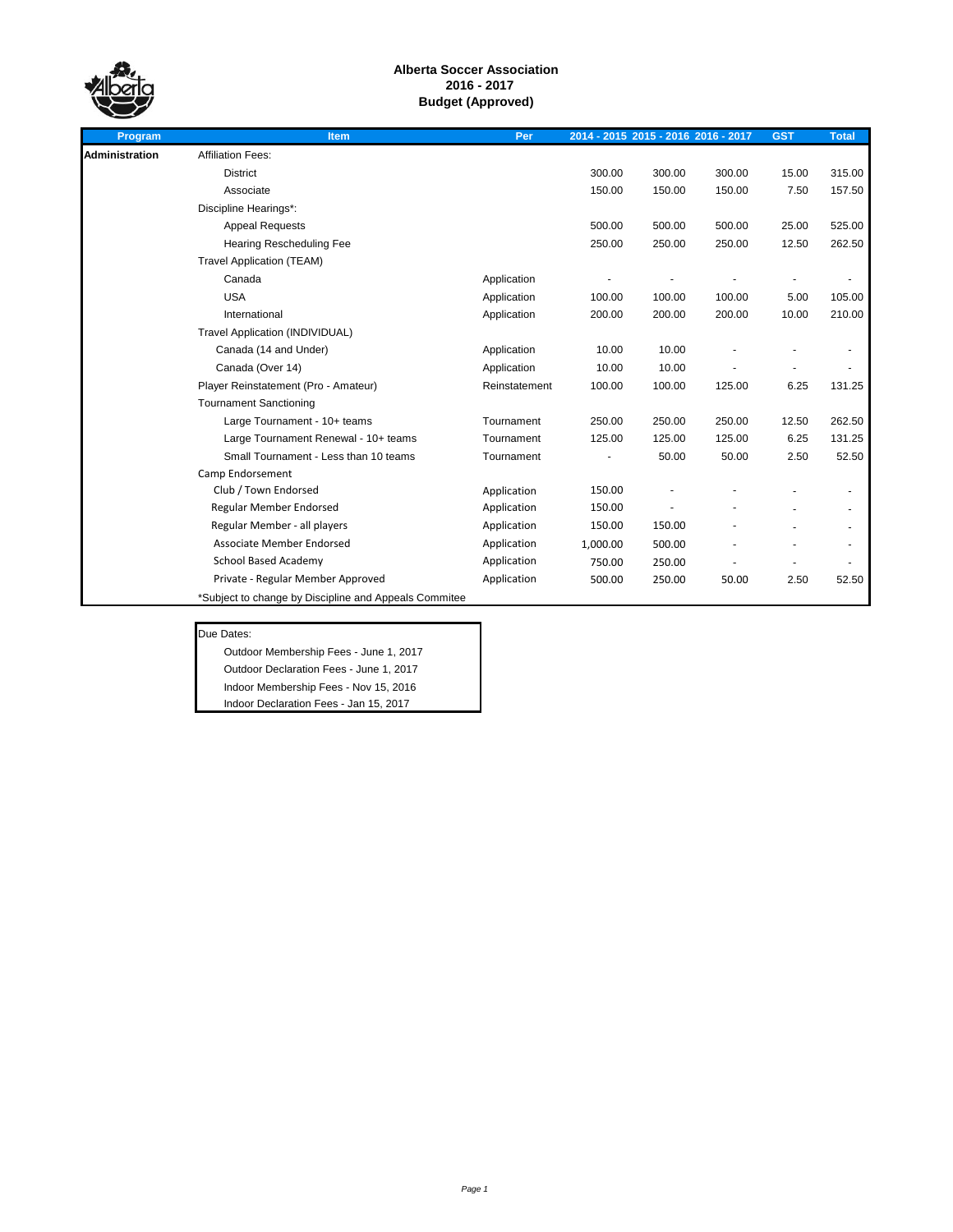

| Program               | Item                                                  | Per           |          | 2014 - 2015 2015 - 2016 2016 - 2017 |        | <b>GST</b> | <b>Total</b> |
|-----------------------|-------------------------------------------------------|---------------|----------|-------------------------------------|--------|------------|--------------|
| <b>Administration</b> | <b>Affiliation Fees:</b>                              |               |          |                                     |        |            |              |
|                       | <b>District</b>                                       |               | 300.00   | 300.00                              | 300.00 | 15.00      | 315.00       |
|                       | Associate                                             |               | 150.00   | 150.00                              | 150.00 | 7.50       | 157.50       |
|                       | Discipline Hearings*:                                 |               |          |                                     |        |            |              |
|                       | <b>Appeal Requests</b>                                |               | 500.00   | 500.00                              | 500.00 | 25.00      | 525.00       |
|                       | <b>Hearing Rescheduling Fee</b>                       |               | 250.00   | 250.00                              | 250.00 | 12.50      | 262.50       |
|                       | <b>Travel Application (TEAM)</b>                      |               |          |                                     |        |            |              |
|                       | Canada                                                | Application   |          |                                     |        |            |              |
|                       | <b>USA</b>                                            | Application   | 100.00   | 100.00                              | 100.00 | 5.00       | 105.00       |
|                       | International                                         | Application   | 200.00   | 200.00                              | 200.00 | 10.00      | 210.00       |
|                       | Travel Application (INDIVIDUAL)                       |               |          |                                     |        |            |              |
|                       | Canada (14 and Under)                                 | Application   | 10.00    | 10.00                               |        |            |              |
|                       | Canada (Over 14)                                      | Application   | 10.00    | 10.00                               |        |            |              |
|                       | Player Reinstatement (Pro - Amateur)                  | Reinstatement | 100.00   | 100.00                              | 125.00 | 6.25       | 131.25       |
|                       | <b>Tournament Sanctioning</b>                         |               |          |                                     |        |            |              |
|                       | Large Tournament - 10+ teams                          | Tournament    | 250.00   | 250.00                              | 250.00 | 12.50      | 262.50       |
|                       | Large Tournament Renewal - 10+ teams                  | Tournament    | 125.00   | 125.00                              | 125.00 | 6.25       | 131.25       |
|                       | Small Tournament - Less than 10 teams                 | Tournament    |          | 50.00                               | 50.00  | 2.50       | 52.50        |
|                       | Camp Endorsement                                      |               |          |                                     |        |            |              |
|                       | Club / Town Endorsed                                  | Application   | 150.00   |                                     |        |            |              |
|                       | Regular Member Endorsed                               | Application   | 150.00   |                                     |        |            |              |
|                       | Regular Member - all players                          | Application   | 150.00   | 150.00                              |        |            |              |
|                       | Associate Member Endorsed                             | Application   | 1.000.00 | 500.00                              |        |            |              |
|                       | <b>School Based Academy</b>                           | Application   | 750.00   | 250.00                              |        |            |              |
|                       | Private - Regular Member Approved                     | Application   | 500.00   | 250.00                              | 50.00  | 2.50       | 52.50        |
|                       | *Subject to change by Discipline and Appeals Commitee |               |          |                                     |        |            |              |

# Due Dates:

Outdoor Membership Fees - June 1, 2017 Outdoor Declaration Fees - June 1, 2017 Indoor Membership Fees - Nov 15, 2016 Indoor Declaration Fees - Jan 15, 2017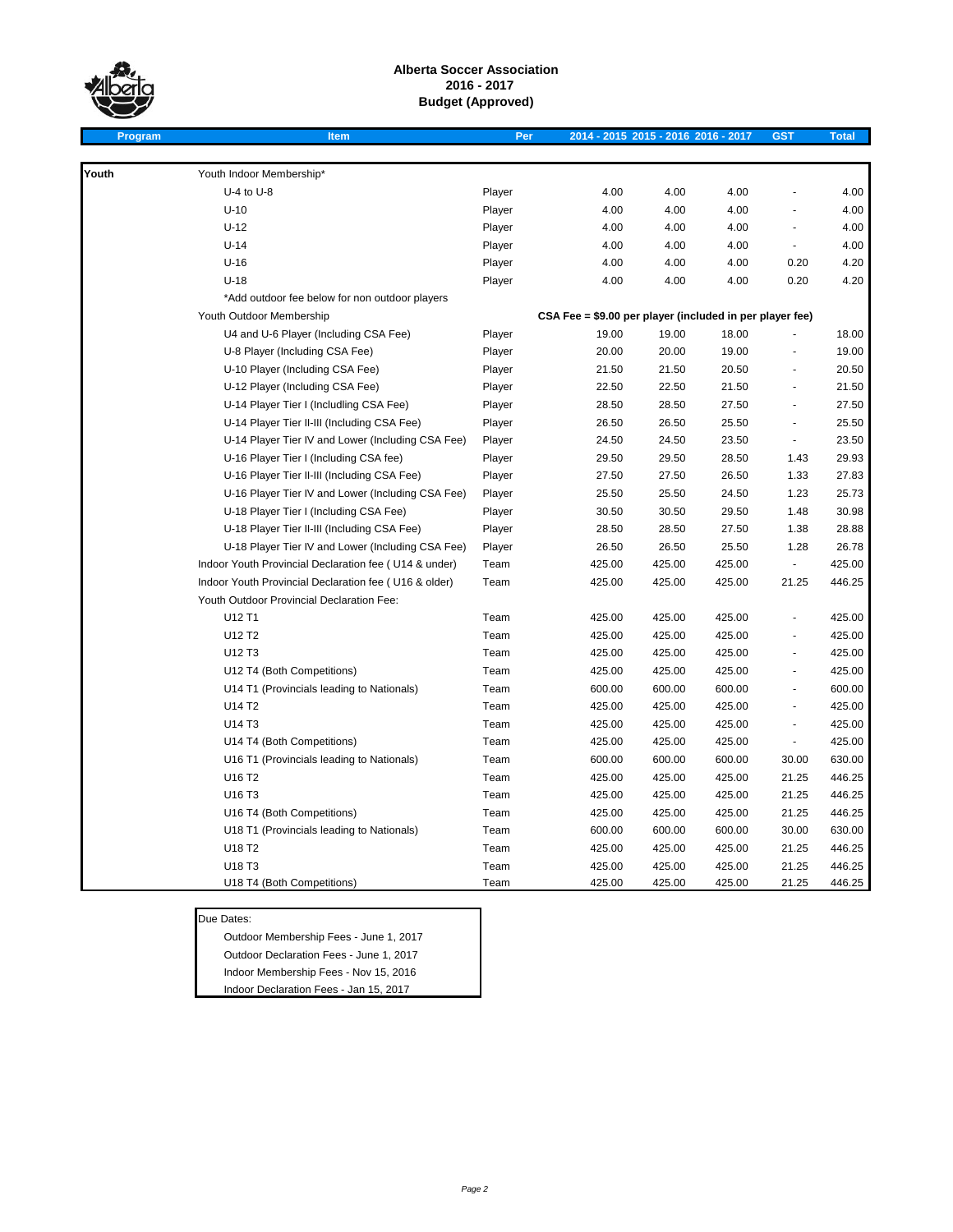

**Program Item Per 2014 - 2015 2015 - 2016 2016 - 2017 GST Total**

| Youth | Youth Indoor Membership*                              |        |                                                          |        |                          |        |
|-------|-------------------------------------------------------|--------|----------------------------------------------------------|--------|--------------------------|--------|
|       | $U-4$ to $U-8$                                        | Player | 4.00<br>4.00                                             | 4.00   |                          | 4.00   |
|       | $U-10$                                                | Player | 4.00<br>4.00                                             | 4.00   |                          | 4.00   |
|       | $U-12$                                                | Player | 4.00<br>4.00                                             | 4.00   | ÷.                       | 4.00   |
|       | $U-14$                                                | Player | 4.00<br>4.00                                             | 4.00   | ÷,                       | 4.00   |
|       | $U-16$                                                | Player | 4.00<br>4.00                                             | 4.00   | 0.20                     | 4.20   |
|       | $U-18$                                                | Player | 4.00<br>4.00                                             | 4.00   | 0.20                     | 4.20   |
|       | *Add outdoor fee below for non outdoor players        |        |                                                          |        |                          |        |
|       | Youth Outdoor Membership                              |        | CSA Fee = \$9.00 per player (included in per player fee) |        |                          |        |
|       | U4 and U-6 Player (Including CSA Fee)                 | Player | 19.00<br>19.00                                           | 18.00  |                          | 18.00  |
|       | U-8 Player (Including CSA Fee)                        | Player | 20.00<br>20.00                                           | 19.00  |                          | 19.00  |
|       | U-10 Player (Including CSA Fee)                       | Player | 21.50<br>21.50                                           | 20.50  |                          | 20.50  |
|       | U-12 Player (Including CSA Fee)                       | Player | 22.50<br>22.50                                           | 21.50  | ä,                       | 21.50  |
|       | U-14 Player Tier I (Includling CSA Fee)               | Player | 28.50<br>28.50                                           | 27.50  | ä,                       | 27.50  |
|       | U-14 Player Tier II-III (Including CSA Fee)           | Player | 26.50<br>26.50                                           | 25.50  | $\overline{\phantom{a}}$ | 25.50  |
|       | U-14 Player Tier IV and Lower (Including CSA Fee)     | Player | 24.50<br>24.50                                           | 23.50  | ÷,                       | 23.50  |
|       | U-16 Player Tier I (Including CSA fee)                | Player | 29.50<br>29.50                                           | 28.50  | 1.43                     | 29.93  |
|       | U-16 Player Tier II-III (Including CSA Fee)           | Player | 27.50<br>27.50                                           | 26.50  | 1.33                     | 27.83  |
|       | U-16 Player Tier IV and Lower (Including CSA Fee)     | Player | 25.50<br>25.50                                           | 24.50  | 1.23                     | 25.73  |
|       | U-18 Player Tier I (Including CSA Fee)                | Player | 30.50<br>30.50                                           | 29.50  | 1.48                     | 30.98  |
|       | U-18 Player Tier II-III (Including CSA Fee)           | Player | 28.50<br>28.50                                           | 27.50  | 1.38                     | 28.88  |
|       | U-18 Player Tier IV and Lower (Including CSA Fee)     | Player | 26.50<br>26.50                                           | 25.50  | 1.28                     | 26.78  |
|       | Indoor Youth Provincial Declaration fee (U14 & under) | Team   | 425.00<br>425.00                                         | 425.00 | ÷,                       | 425.00 |
|       | Indoor Youth Provincial Declaration fee (U16 & older) | Team   | 425.00<br>425.00                                         | 425.00 | 21.25                    | 446.25 |
|       | Youth Outdoor Provincial Declaration Fee:             |        |                                                          |        |                          |        |
|       | U12 T1                                                | Team   | 425.00<br>425.00                                         | 425.00 |                          | 425.00 |
|       | U12 T2                                                | Team   | 425.00<br>425.00                                         | 425.00 |                          | 425.00 |
|       | U <sub>12</sub> T <sub>3</sub>                        | Team   | 425.00<br>425.00                                         | 425.00 | ä,                       | 425.00 |
|       | U12 T4 (Both Competitions)                            | Team   | 425.00<br>425.00                                         | 425.00 | ÷,                       | 425.00 |
|       | U14 T1 (Provincials leading to Nationals)             | Team   | 600.00<br>600.00                                         | 600.00 | ä,                       | 600.00 |
|       | U14 T2                                                | Team   | 425.00<br>425.00                                         | 425.00 | ÷,                       | 425.00 |
|       | U14 T3                                                | Team   | 425.00<br>425.00                                         | 425.00 | ä,                       | 425.00 |
|       | U14 T4 (Both Competitions)                            | Team   | 425.00<br>425.00                                         | 425.00 | ÷,                       | 425.00 |
|       | U16 T1 (Provincials leading to Nationals)             | Team   | 600.00<br>600.00                                         | 600.00 | 30.00                    | 630.00 |
|       | U16 T2                                                | Team   | 425.00<br>425.00                                         | 425.00 | 21.25                    | 446.25 |
|       | U16 T3                                                | Team   | 425.00<br>425.00                                         | 425.00 | 21.25                    | 446.25 |
|       | U16 T4 (Both Competitions)                            | Team   | 425.00<br>425.00                                         | 425.00 | 21.25                    | 446.25 |
|       | U18 T1 (Provincials leading to Nationals)             | Team   | 600.00<br>600.00                                         | 600.00 | 30.00                    | 630.00 |
|       | U18 T2                                                | Team   | 425.00<br>425.00                                         | 425.00 | 21.25                    | 446.25 |
|       | U18 T3                                                | Team   | 425.00<br>425.00                                         | 425.00 | 21.25                    | 446.25 |
|       | U18 T4 (Both Competitions)                            | Team   | 425.00<br>425.00                                         | 425.00 | 21.25                    | 446.25 |

### Due Dates:

Outdoor Membership Fees - June 1, 2017 Outdoor Declaration Fees - June 1, 2017 Indoor Membership Fees - Nov 15, 2016 Indoor Declaration Fees - Jan 15, 2017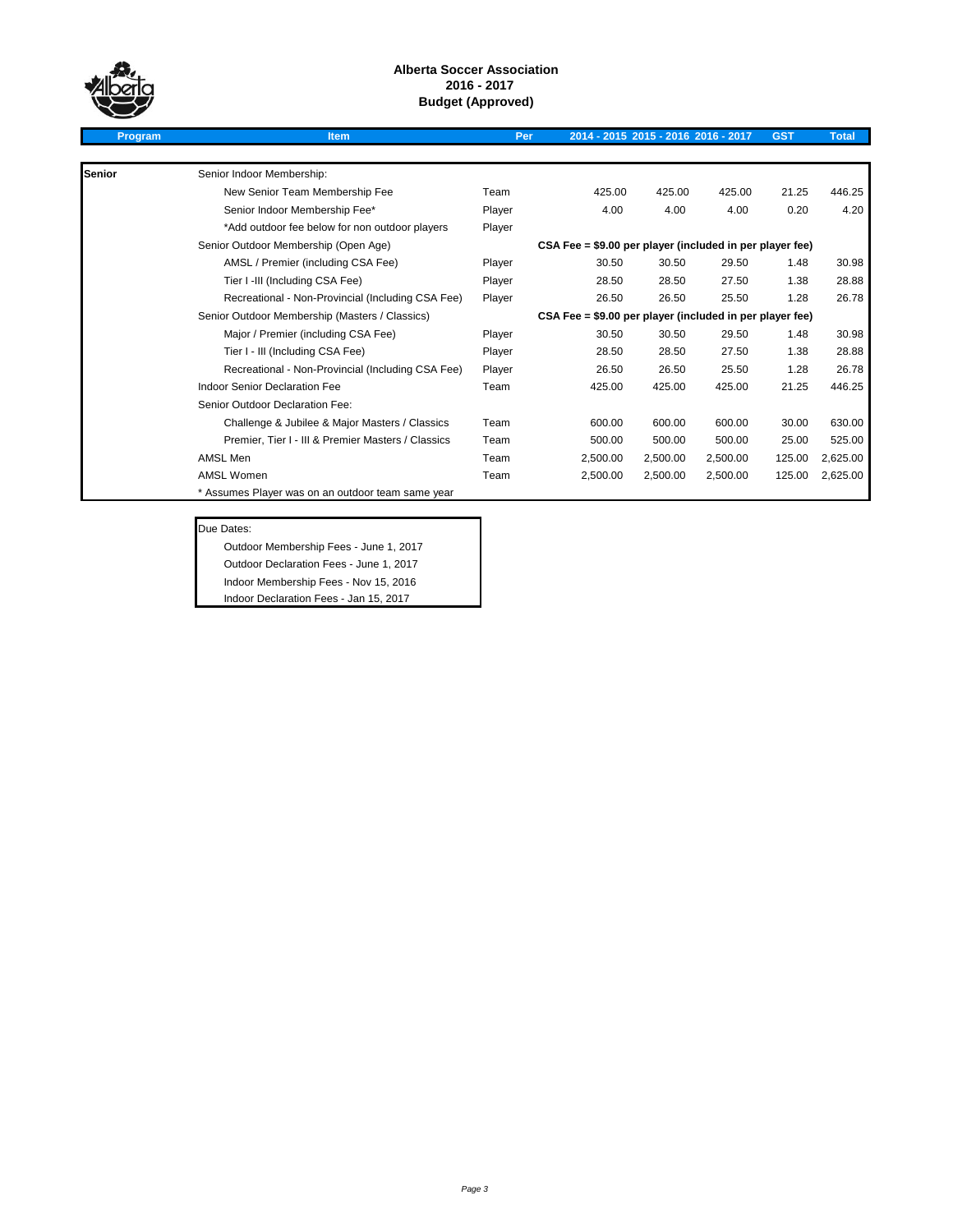

| Program |  |
|---------|--|
|         |  |

## **Program Item Per 2014 - 2015 2015 - 2016 2016 - 2017 GST Total Senior** Senior Indoor Membership: New Senior Team Membership Fee Team 425.00 425.00 425.00 21.25 446.25 Senior Indoor Membership Fee\* Player Player 4.00 4.00 4.00 0.20 4.20 \*Add outdoor fee below for non outdoor players Player Senior Outdoor Membership (Open Age) AMSL / Premier (including CSA Fee) Player 30.50 30.50 29.50 1.48 30.98 Tier I -III (Including CSA Fee) <br>
Player 28.50 28.50 27.50 1.38 28.88 Recreational - Non-Provincial (Including CSA Fee) Player 26.50 26.50 25.50 1.28 26.78 Senior Outdoor Membership (Masters / Classics) Major / Premier (including CSA Fee) Player 30.50 30.50 29.50 1.48 30.98 Tier I - III (Including CSA Fee) 28.88 Player 28.50 28.50 27.50 1.38 28.88 Recreational - Non-Provincial (Including CSA Fee) Player 26.50 26.50 25.50 1.28 26.78 Indoor Senior Declaration Fee Team Team 425.00 425.00 425.00 21.25 446.25 **CSA Fee = \$9.00 per player (included in per player fee) CSA Fee = \$9.00 per player (included in per player fee)**

Challenge & Jubilee & Major Masters / Classics Team 600.00 600.00 600.00 30.00 630.00 Premier, Tier I - III & Premier Masters / Classics Team 500.00 500.00 500.00 25.00 525.00 AMSL Men Team 2,500.00 2,500.00 2,500.00 125.00 2,625.00 AMSL Women Team 2,500.00 2,500.00 2,500.00 125.00 2,625.00

#### Due Dates:

Senior Outdoor Declaration Fee:

Outdoor Membership Fees - June 1, 2017

\* Assumes Player was on an outdoor team same year

Outdoor Declaration Fees - June 1, 2017

Indoor Membership Fees - Nov 15, 2016

Indoor Declaration Fees - Jan 15, 2017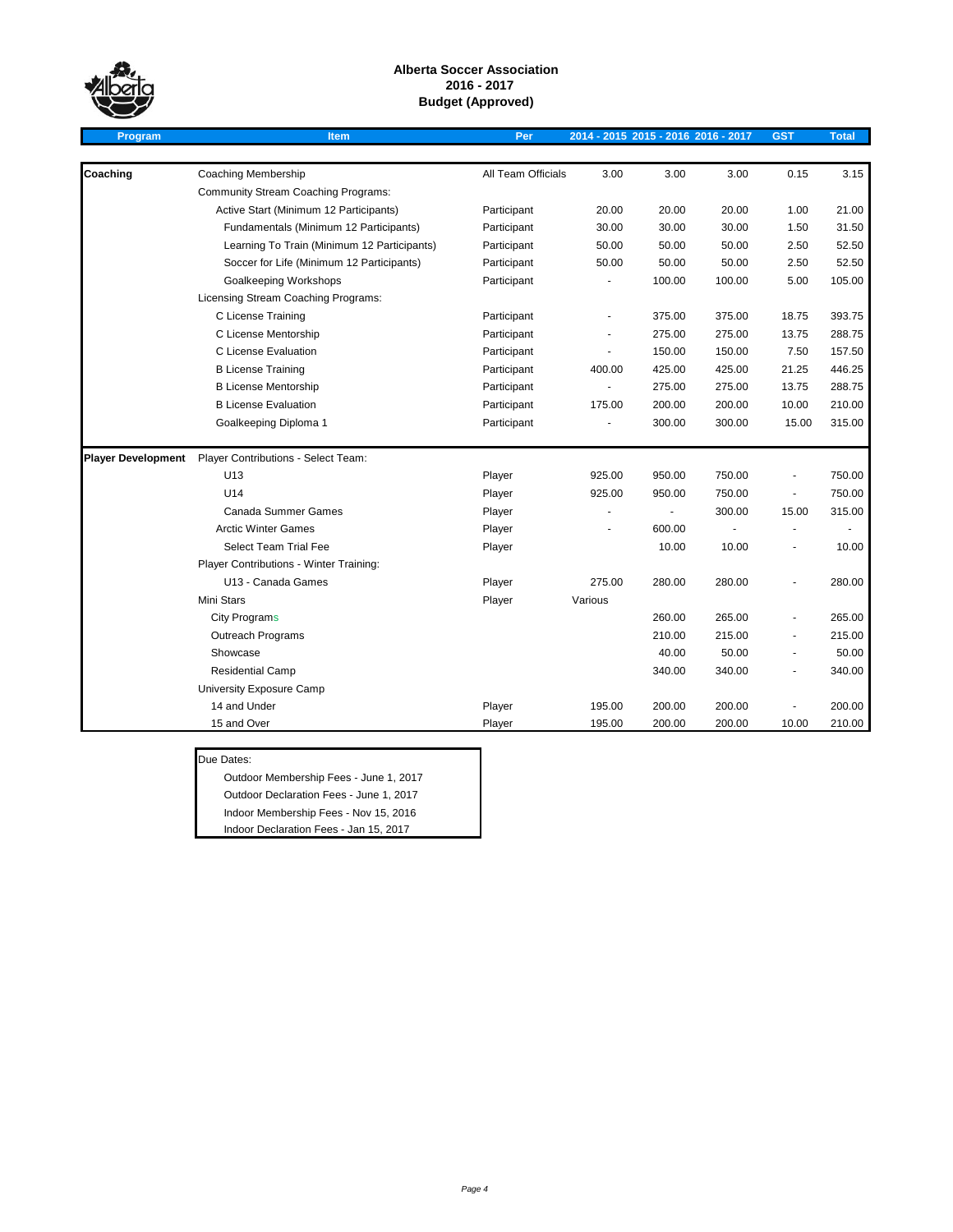

| Program                   | <b>Item</b>                                 | Per                |         | 2014 - 2015 2015 - 2016 2016 - 2017 |        | <b>GST</b> | <b>Total</b> |
|---------------------------|---------------------------------------------|--------------------|---------|-------------------------------------|--------|------------|--------------|
|                           |                                             |                    |         |                                     |        |            |              |
| Coaching                  | <b>Coaching Membership</b>                  | All Team Officials | 3.00    | 3.00                                | 3.00   | 0.15       | 3.15         |
|                           | <b>Community Stream Coaching Programs:</b>  |                    |         |                                     |        |            |              |
|                           | Active Start (Minimum 12 Participants)      | Participant        | 20.00   | 20.00                               | 20.00  | 1.00       | 21.00        |
|                           | Fundamentals (Minimum 12 Participants)      | Participant        | 30.00   | 30.00                               | 30.00  | 1.50       | 31.50        |
|                           | Learning To Train (Minimum 12 Participants) | Participant        | 50.00   | 50.00                               | 50.00  | 2.50       | 52.50        |
|                           | Soccer for Life (Minimum 12 Participants)   | Participant        | 50.00   | 50.00                               | 50.00  | 2.50       | 52.50        |
|                           | Goalkeeping Workshops                       | Participant        |         | 100.00                              | 100.00 | 5.00       | 105.00       |
|                           | Licensing Stream Coaching Programs:         |                    |         |                                     |        |            |              |
|                           | C License Training                          | Participant        |         | 375.00                              | 375.00 | 18.75      | 393.75       |
|                           | C License Mentorship                        | Participant        |         | 275.00                              | 275.00 | 13.75      | 288.75       |
|                           | C License Evaluation                        | Participant        |         | 150.00                              | 150.00 | 7.50       | 157.50       |
|                           | <b>B License Training</b>                   | Participant        | 400.00  | 425.00                              | 425.00 | 21.25      | 446.25       |
|                           | <b>B License Mentorship</b>                 | Participant        |         | 275.00                              | 275.00 | 13.75      | 288.75       |
|                           | <b>B License Evaluation</b>                 | Participant        | 175.00  | 200.00                              | 200.00 | 10.00      | 210.00       |
|                           | Goalkeeping Diploma 1                       | Participant        |         | 300.00                              | 300.00 | 15.00      | 315.00       |
| <b>Player Development</b> | Player Contributions - Select Team:         |                    |         |                                     |        |            |              |
|                           | U13                                         | Player             | 925.00  | 950.00                              | 750.00 | ÷,         | 750.00       |
|                           | U14                                         | Player             | 925.00  | 950.00                              | 750.00 | $\sim$     | 750.00       |
|                           | Canada Summer Games                         | Player             |         | ä,                                  | 300.00 | 15.00      | 315.00       |
|                           | <b>Arctic Winter Games</b>                  | Player             |         | 600.00                              |        |            |              |
|                           | Select Team Trial Fee                       | Player             |         | 10.00                               | 10.00  | ä,         | 10.00        |
|                           | Player Contributions - Winter Training:     |                    |         |                                     |        |            |              |
|                           | U13 - Canada Games                          | Player             | 275.00  | 280.00                              | 280.00 |            | 280.00       |
|                           | Mini Stars                                  | Player             | Various |                                     |        |            |              |
|                           | <b>City Programs</b>                        |                    |         | 260.00                              | 265.00 |            | 265.00       |
|                           | Outreach Programs                           |                    |         | 210.00                              | 215.00 |            | 215.00       |
|                           | Showcase                                    |                    |         | 40.00                               | 50.00  |            | 50.00        |
|                           | <b>Residential Camp</b>                     |                    |         | 340.00                              | 340.00 |            | 340.00       |
|                           | University Exposure Camp                    |                    |         |                                     |        |            |              |
|                           | 14 and Under                                | Player             | 195.00  | 200.00                              | 200.00 |            | 200.00       |
|                           | 15 and Over                                 | Player             | 195.00  | 200.00                              | 200.00 | 10.00      | 210.00       |

#### Due Dates:

Outdoor Membership Fees - June 1, 2017 Outdoor Declaration Fees - June 1, 2017 Indoor Membership Fees - Nov 15, 2016 Indoor Declaration Fees - Jan 15, 2017